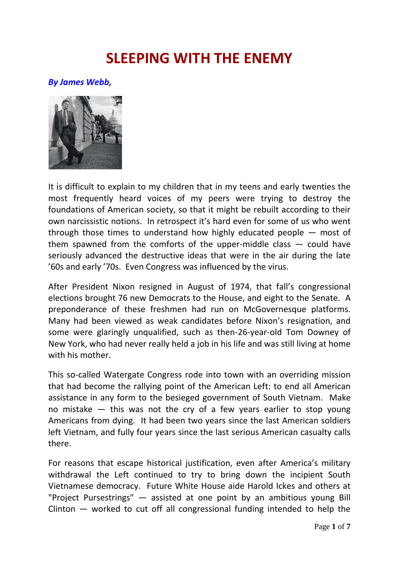## **SLEEPING WITH THE ENEMY**

## *By James Webb,*



It is difficult to explain to my children that in my teens and early twenties the most frequently heard voices of my peers were trying to destroy the foundations of American society, so that it might be rebuilt according to their own narcissistic notions. In retrospect it's hard even for some of us who went through those times to understand how highly educated people — most of them spawned from the comforts of the upper-middle class — could have seriously advanced the destructive ideas that were in the air during the late '60s and early '70s. Even Congress was influenced by the virus.

After President Nixon resigned in August of 1974, that fall's congressional elections brought 76 new Democrats to the House, and eight to the Senate. A preponderance of these freshmen had run on McGovernesque platforms. Many had been viewed as weak candidates before Nixon's resignation, and some were glaringly unqualified, such as then-26-year-old Tom Downey of New York, who had never really held a job in his life and was still living at home with his mother.

This so-called Watergate Congress rode into town with an overriding mission that had become the rallying point of the American Left: to end all American assistance in any form to the besieged government of South Vietnam. Make no mistake — this was not the cry of a few years earlier to stop young Americans from dying. It had been two years since the last American soldiers left Vietnam, and fully four years since the last serious American casualty calls there.

For reasons that escape historical justification, even after America's military withdrawal the Left continued to try to bring down the incipient South Vietnamese democracy. Future White House aide Harold Ickes and others at "Project Pursestrings" — assisted at one point by an ambitious young Bill Clinton — worked to cut off all congressional funding intended to help the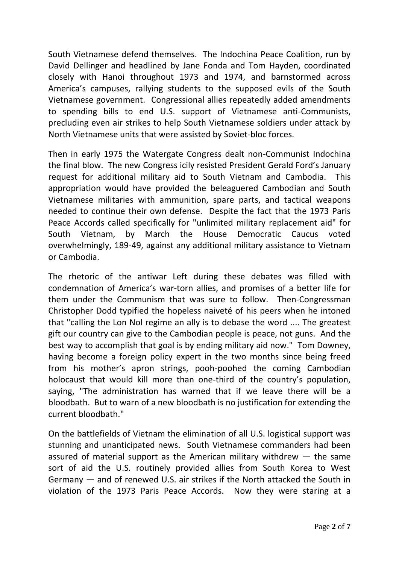South Vietnamese defend themselves. The Indochina Peace Coalition, run by David Dellinger and headlined by Jane Fonda and Tom Hayden, coordinated closely with Hanoi throughout 1973 and 1974, and barnstormed across America's campuses, rallying students to the supposed evils of the South Vietnamese government. Congressional allies repeatedly added amendments to spending bills to end U.S. support of Vietnamese anti-Communists, precluding even air strikes to help South Vietnamese soldiers under attack by North Vietnamese units that were assisted by Soviet-bloc forces.

Then in early 1975 the Watergate Congress dealt non-Communist Indochina the final blow. The new Congress icily resisted President Gerald Ford's January request for additional military aid to South Vietnam and Cambodia. This appropriation would have provided the beleaguered Cambodian and South Vietnamese militaries with ammunition, spare parts, and tactical weapons needed to continue their own defense. Despite the fact that the 1973 Paris Peace Accords called specifically for "unlimited military replacement aid" for South Vietnam, by March the House Democratic Caucus voted overwhelmingly, 189-49, against any additional military assistance to Vietnam or Cambodia.

The rhetoric of the antiwar Left during these debates was filled with condemnation of America's war-torn allies, and promises of a better life for them under the Communism that was sure to follow. Then-Congressman Christopher Dodd typified the hopeless naiveté of his peers when he intoned that "calling the Lon Nol regime an ally is to debase the word .... The greatest gift our country can give to the Cambodian people is peace, not guns. And the best way to accomplish that goal is by ending military aid now." Tom Downey, having become a foreign policy expert in the two months since being freed from his mother's apron strings, pooh-poohed the coming Cambodian holocaust that would kill more than one-third of the country's population, saying, "The administration has warned that if we leave there will be a bloodbath. But to warn of a new bloodbath is no justification for extending the current bloodbath."

On the battlefields of Vietnam the elimination of all U.S. logistical support was stunning and unanticipated news. South Vietnamese commanders had been assured of material support as the American military withdrew  $-$  the same sort of aid the U.S. routinely provided allies from South Korea to West Germany — and of renewed U.S. air strikes if the North attacked the South in violation of the 1973 Paris Peace Accords. Now they were staring at a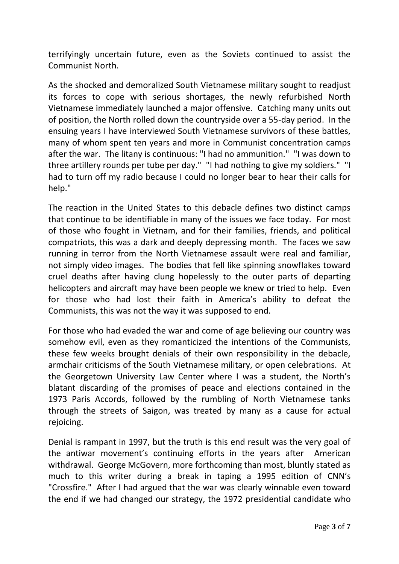terrifyingly uncertain future, even as the Soviets continued to assist the Communist North.

As the shocked and demoralized South Vietnamese military sought to readjust its forces to cope with serious shortages, the newly refurbished North Vietnamese immediately launched a major offensive. Catching many units out of position, the North rolled down the countryside over a 55-day period. In the ensuing years I have interviewed South Vietnamese survivors of these battles, many of whom spent ten years and more in Communist concentration camps after the war. The litany is continuous: "I had no ammunition." "I was down to three artillery rounds per tube per day." "I had nothing to give my soldiers." "I had to turn off my radio because I could no longer bear to hear their calls for help."

The reaction in the United States to this debacle defines two distinct camps that continue to be identifiable in many of the issues we face today. For most of those who fought in Vietnam, and for their families, friends, and political compatriots, this was a dark and deeply depressing month. The faces we saw running in terror from the North Vietnamese assault were real and familiar, not simply video images. The bodies that fell like spinning snowflakes toward cruel deaths after having clung hopelessly to the outer parts of departing helicopters and aircraft may have been people we knew or tried to help. Even for those who had lost their faith in America's ability to defeat the Communists, this was not the way it was supposed to end.

For those who had evaded the war and come of age believing our country was somehow evil, even as they romanticized the intentions of the Communists, these few weeks brought denials of their own responsibility in the debacle, armchair criticisms of the South Vietnamese military, or open celebrations. At the Georgetown University Law Center where I was a student, the North's blatant discarding of the promises of peace and elections contained in the 1973 Paris Accords, followed by the rumbling of North Vietnamese tanks through the streets of Saigon, was treated by many as a cause for actual rejoicing.

Denial is rampant in 1997, but the truth is this end result was the very goal of the antiwar movement's continuing efforts in the years after American withdrawal. George McGovern, more forthcoming than most, bluntly stated as much to this writer during a break in taping a 1995 edition of CNN's "Crossfire." After I had argued that the war was clearly winnable even toward the end if we had changed our strategy, the 1972 presidential candidate who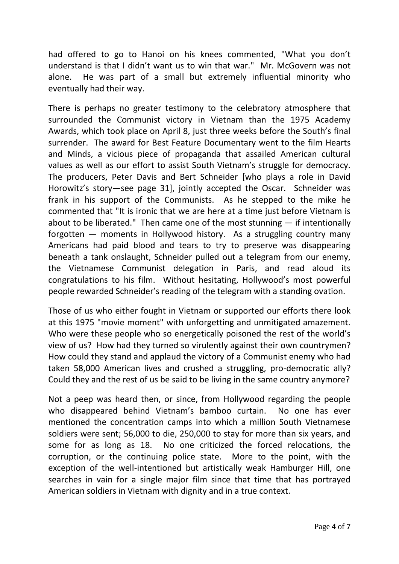had offered to go to Hanoi on his knees commented, "What you don't understand is that I didn't want us to win that war." Mr. McGovern was not alone. He was part of a small but extremely influential minority who eventually had their way.

There is perhaps no greater testimony to the celebratory atmosphere that surrounded the Communist victory in Vietnam than the 1975 Academy Awards, which took place on April 8, just three weeks before the South's final surrender. The award for Best Feature Documentary went to the film Hearts and Minds, a vicious piece of propaganda that assailed American cultural values as well as our effort to assist South Vietnam's struggle for democracy. The producers, Peter Davis and Bert Schneider [who plays a role in David Horowitz's story—see page 31], jointly accepted the Oscar. Schneider was frank in his support of the Communists. As he stepped to the mike he commented that "It is ironic that we are here at a time just before Vietnam is about to be liberated." Then came one of the most stunning  $-$  if intentionally forgotten — moments in Hollywood history. As a struggling country many Americans had paid blood and tears to try to preserve was disappearing beneath a tank onslaught, Schneider pulled out a telegram from our enemy, the Vietnamese Communist delegation in Paris, and read aloud its congratulations to his film. Without hesitating, Hollywood's most powerful people rewarded Schneider's reading of the telegram with a standing ovation.

Those of us who either fought in Vietnam or supported our efforts there look at this 1975 "movie moment" with unforgetting and unmitigated amazement. Who were these people who so energetically poisoned the rest of the world's view of us? How had they turned so virulently against their own countrymen? How could they stand and applaud the victory of a Communist enemy who had taken 58,000 American lives and crushed a struggling, pro-democratic ally? Could they and the rest of us be said to be living in the same country anymore?

Not a peep was heard then, or since, from Hollywood regarding the people who disappeared behind Vietnam's bamboo curtain. No one has ever mentioned the concentration camps into which a million South Vietnamese soldiers were sent; 56,000 to die, 250,000 to stay for more than six years, and some for as long as 18. No one criticized the forced relocations, the corruption, or the continuing police state. More to the point, with the exception of the well-intentioned but artistically weak Hamburger Hill, one searches in vain for a single major film since that time that has portrayed American soldiers in Vietnam with dignity and in a true context.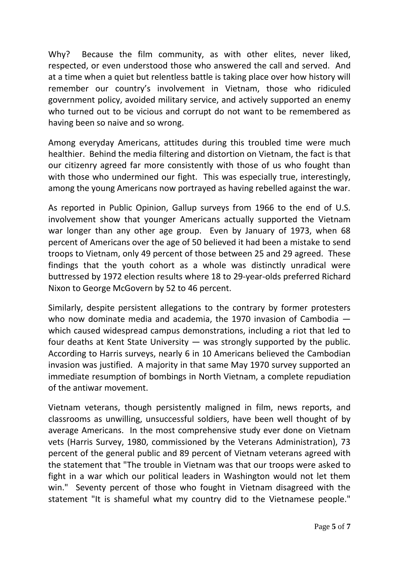Why? Because the film community, as with other elites, never liked, respected, or even understood those who answered the call and served. And at a time when a quiet but relentless battle is taking place over how history will remember our country's involvement in Vietnam, those who ridiculed government policy, avoided military service, and actively supported an enemy who turned out to be vicious and corrupt do not want to be remembered as having been so naive and so wrong.

Among everyday Americans, attitudes during this troubled time were much healthier. Behind the media filtering and distortion on Vietnam, the fact is that our citizenry agreed far more consistently with those of us who fought than with those who undermined our fight. This was especially true, interestingly, among the young Americans now portrayed as having rebelled against the war.

As reported in Public Opinion, Gallup surveys from 1966 to the end of U.S. involvement show that younger Americans actually supported the Vietnam war longer than any other age group. Even by January of 1973, when 68 percent of Americans over the age of 50 believed it had been a mistake to send troops to Vietnam, only 49 percent of those between 25 and 29 agreed. These findings that the youth cohort as a whole was distinctly unradical were buttressed by 1972 election results where 18 to 29-year-olds preferred Richard Nixon to George McGovern by 52 to 46 percent.

Similarly, despite persistent allegations to the contrary by former protesters who now dominate media and academia, the 1970 invasion of Cambodia which caused widespread campus demonstrations, including a riot that led to four deaths at Kent State University — was strongly supported by the public. According to Harris surveys, nearly 6 in 10 Americans believed the Cambodian invasion was justified. A majority in that same May 1970 survey supported an immediate resumption of bombings in North Vietnam, a complete repudiation of the antiwar movement.

Vietnam veterans, though persistently maligned in film, news reports, and classrooms as unwilling, unsuccessful soldiers, have been well thought of by average Americans. In the most comprehensive study ever done on Vietnam vets (Harris Survey, 1980, commissioned by the Veterans Administration), 73 percent of the general public and 89 percent of Vietnam veterans agreed with the statement that "The trouble in Vietnam was that our troops were asked to fight in a war which our political leaders in Washington would not let them win." Seventy percent of those who fought in Vietnam disagreed with the statement "It is shameful what my country did to the Vietnamese people."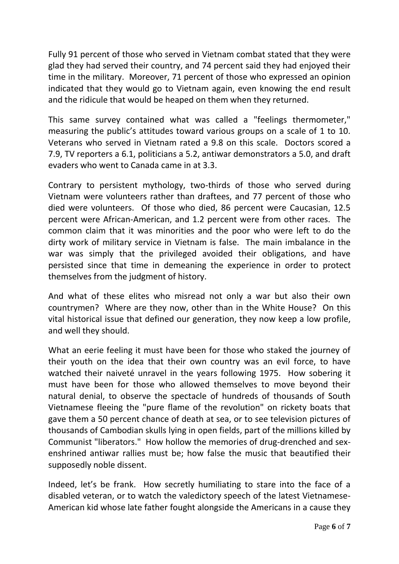Fully 91 percent of those who served in Vietnam combat stated that they were glad they had served their country, and 74 percent said they had enjoyed their time in the military. Moreover, 71 percent of those who expressed an opinion indicated that they would go to Vietnam again, even knowing the end result and the ridicule that would be heaped on them when they returned.

This same survey contained what was called a "feelings thermometer," measuring the public's attitudes toward various groups on a scale of 1 to 10. Veterans who served in Vietnam rated a 9.8 on this scale. Doctors scored a 7.9, TV reporters a 6.1, politicians a 5.2, antiwar demonstrators a 5.0, and draft evaders who went to Canada came in at 3.3.

Contrary to persistent mythology, two-thirds of those who served during Vietnam were volunteers rather than draftees, and 77 percent of those who died were volunteers. Of those who died, 86 percent were Caucasian, 12.5 percent were African-American, and 1.2 percent were from other races. The common claim that it was minorities and the poor who were left to do the dirty work of military service in Vietnam is false. The main imbalance in the war was simply that the privileged avoided their obligations, and have persisted since that time in demeaning the experience in order to protect themselves from the judgment of history.

And what of these elites who misread not only a war but also their own countrymen? Where are they now, other than in the White House? On this vital historical issue that defined our generation, they now keep a low profile, and well they should.

What an eerie feeling it must have been for those who staked the journey of their youth on the idea that their own country was an evil force, to have watched their naiveté unravel in the years following 1975. How sobering it must have been for those who allowed themselves to move beyond their natural denial, to observe the spectacle of hundreds of thousands of South Vietnamese fleeing the "pure flame of the revolution" on rickety boats that gave them a 50 percent chance of death at sea, or to see television pictures of thousands of Cambodian skulls lying in open fields, part of the millions killed by Communist "liberators." How hollow the memories of drug-drenched and sexenshrined antiwar rallies must be; how false the music that beautified their supposedly noble dissent.

Indeed, let's be frank. How secretly humiliating to stare into the face of a disabled veteran, or to watch the valedictory speech of the latest Vietnamese-American kid whose late father fought alongside the Americans in a cause they